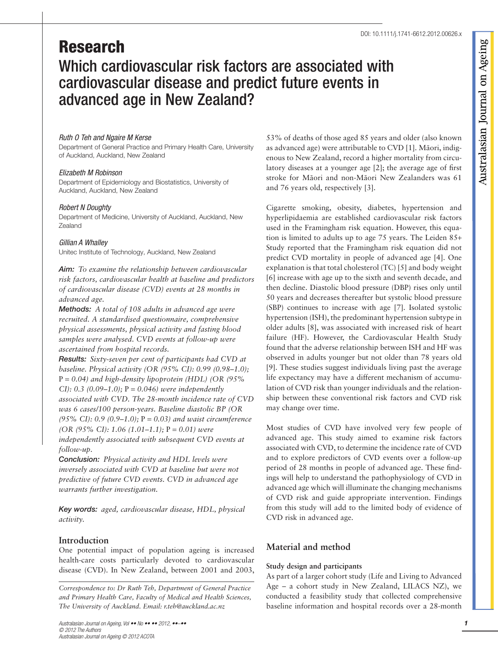# Research Which cardiovascular risk factors are associated with cardiovascular disease and predict future events in advanced age in New Zealand?

# Ruth O Teh and Ngaire M Kerse

Department of General Practice and Primary Health Care, University of Auckland, Auckland, New Zealand

## Elizabeth M Robinson

Department of Epidemiology and Biostatistics, University of Auckland, Auckland, New Zealand

## Robert N Doughty

Department of Medicine, University of Auckland, Auckland, New Zealand

# Gillian A Whalley

Unitec Institute of Technology, Auckland, New Zealand

Aim: *To examine the relationship between cardiovascular risk factors, cardiovascular health at baseline and predictors of cardiovascular disease (CVD) events at 28 months in advanced age.*

Methods: *A total of 108 adults in advanced age were recruited. A standardised questionnaire, comprehensive physical assessments, physical activity and fasting blood samples were analysed. CVD events at follow-up were ascertained from hospital records.*

Results: *Sixty-seven per cent of participants had CVD at baseline. Physical activity (OR (95% CI): 0.99 (0.98–1.0);* P = *0.04) and high-density lipoprotein (HDL) (OR (95% CI): 0.3 (0.09–1.0);* P = *0.046) were independently associated with CVD. The 28-month incidence rate of CVD was 6 cases/100 person-years. Baseline diastolic BP (OR (95% CI): 0.9 (0.9–1.0);* P = *0.03) and waist circumference (OR (95% CI): 1.06 (1.01–1.1);* P = *0.01) were independently associated with subsequent CVD events at follow-up.*

Conclusion: *Physical activity and HDL levels were inversely associated with CVD at baseline but were not predictive of future CVD events. CVD in advanced age warrants further investigation.*

Key words: *aged, cardiovascular disease, HDL, physical activity.*

# **Introduction**

One potential impact of population ageing is increased health-care costs particularly devoted to cardiovascular disease (CVD). In New Zealand, between 2001 and 2003,

*Correspondence to: Dr Ruth Teh, Department of General Practice and Primary Health Care, Faculty of Medical and Health Sciences, The University of Auckland. Email: r.teh@auckland.ac.nz*

53% of deaths of those aged 85 years and older (also known as advanced age) were attributable to CVD [1]. Māori, indigenous to New Zealand, record a higher mortality from circulatory diseases at a younger age [2]; the average age of first stroke for Māori and non-Māori New Zealanders was 61 and 76 years old, respectively [3].

Cigarette smoking, obesity, diabetes, hypertension and hyperlipidaemia are established cardiovascular risk factors used in the Framingham risk equation. However, this equation is limited to adults up to age 75 years. The Leiden 85+ Study reported that the Framingham risk equation did not predict CVD mortality in people of advanced age [4]. One explanation is that total cholesterol (TC) [5] and body weight [6] increase with age up to the sixth and seventh decade, and then decline. Diastolic blood pressure (DBP) rises only until 50 years and decreases thereafter but systolic blood pressure (SBP) continues to increase with age [7]. Isolated systolic hypertension (ISH), the predominant hypertension subtype in older adults [8], was associated with increased risk of heart failure (HF). However, the Cardiovascular Health Study found that the adverse relationship between ISH and HF was observed in adults younger but not older than 78 years old [9]. These studies suggest individuals living past the average life expectancy may have a different mechanism of accumulation of CVD risk than younger individuals and the relationship between these conventional risk factors and CVD risk may change over time.

Most studies of CVD have involved very few people of advanced age. This study aimed to examine risk factors associated with CVD, to determine the incidence rate of CVD and to explore predictors of CVD events over a follow-up period of 28 months in people of advanced age. These findings will help to understand the pathophysiology of CVD in advanced age which will illuminate the changing mechanisms of CVD risk and guide appropriate intervention. Findings from this study will add to the limited body of evidence of CVD risk in advanced age.

# **Material and method**

# **Study design and participants**

As part of a larger cohort study (Life and Living to Advanced Age – a cohort study in New Zealand, LILACS NZ), we conducted a feasibility study that collected comprehensive baseline information and hospital records over a 28-month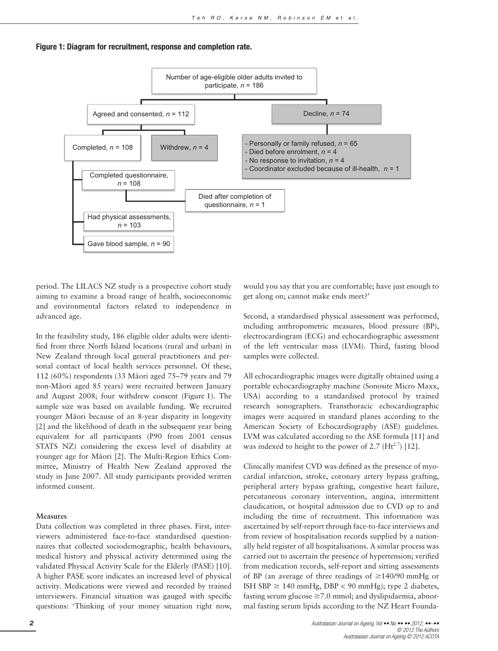

#### Figure 1: Diagram for recruitment, response and completion rate.

period. The LILACS NZ study is a prospective cohort study aiming to examine a broad range of health, socioeconomic and environmental factors related to independence in advanced age.

In the feasibility study, 186 eligible older adults were identified from three North Island locations (rural and urban) in New Zealand through local general practitioners and personal contact of local health services personnel. Of these, 112 (60%) respondents (33 Ma¯ori aged 75–79 years and 79 non-Māori aged 85 years) were recruited between January and August 2008; four withdrew consent (Figure 1). The sample size was based on available funding. We recruited younger Māori because of an 8-year disparity in longevity [2] and the likelihood of death in the subsequent year being equivalent for all participants (P90 from 2001 census STATS NZ) considering the excess level of disability at younger age for Māori [2]. The Multi-Region Ethics Committee, Ministry of Health New Zealand approved the study in June 2007. All study participants provided written informed consent.

### **Measures**

Data collection was completed in three phases. First, interviewers administered face-to-face standardised questionnaires that collected sociodemographic, health behaviours, medical history and physical activity determined using the validated Physical Activity Scale for the Elderly (PASE) [10]. A higher PASE score indicates an increased level of physical activity. Medications were viewed and recorded by trained interviewers. Financial situation was gauged with specific questions: 'Thinking of your money situation right now,

would you say that you are comfortable; have just enough to get along on; cannot make ends meet?'

Second, a standardised physical assessment was performed, including anthropometric measures, blood pressure (BP), electrocardiogram (ECG) and echocardiographic assessment of the left ventricular mass (LVM). Third, fasting blood samples were collected.

All echocardiographic images were digitally obtained using a portable echocardiography machine (Sonosite Micro Maxx, USA) according to a standardised protocol by trained research sonographers. Transthoracic echocardiographic images were acquired in standard planes according to the American Society of Echocardiography (ASE) guidelines. LVM was calculated according to the ASE formula [11] and was indexed to height to the power of 2.7  $(Ht^{2.7})$  [12].

Clinically manifest CVD was defined as the presence of myocardial infarction, stroke, coronary artery bypass grafting, peripheral artery bypass grafting, congestive heart failure, percutaneous coronary intervention, angina, intermittent claudication, or hospital admission due to CVD up to and including the time of recruitment. This information was ascertained by self-report through face-to-face interviews and from review of hospitalisation records supplied by a nationally held register of all hospitalisations. A similar process was carried out to ascertain the presence of hypertension; verified from medication records, self-report and sitting assessments of BP (an average of three readings of  $\geq$ 140/90 mmHg or ISH SBP  $\geq$  140 mmHg, DBP < 90 mmHg); type 2 diabetes, fasting serum glucose  $\geq 7.0$  mmol; and dyslipidaemia, abnormal fasting serum lipids according to the NZ Heart Founda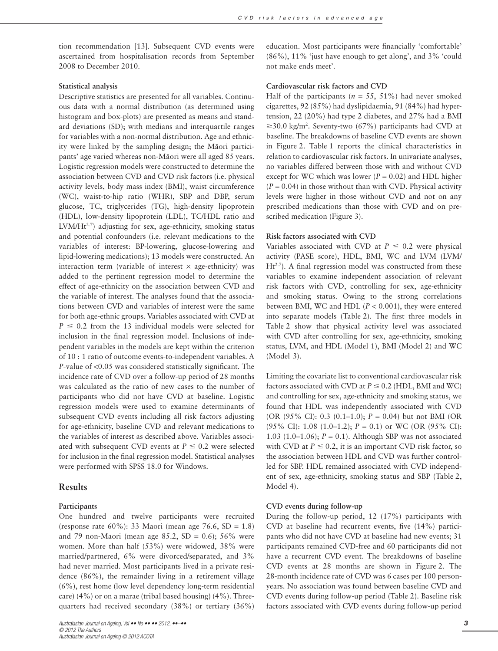tion recommendation [13]. Subsequent CVD events were ascertained from hospitalisation records from September 2008 to December 2010.

## **Statistical analysis**

Descriptive statistics are presented for all variables. Continuous data with a normal distribution (as determined using histogram and box-plots) are presented as means and standard deviations (SD); with medians and interquartile ranges for variables with a non-normal distribution. Age and ethnicity were linked by the sampling design; the Māori participants' age varied whereas non-Māori were all aged 85 years. Logistic regression models were constructed to determine the association between CVD and CVD risk factors (i.e. physical activity levels, body mass index (BMI), waist circumference (WC), waist-to-hip ratio (WHR), SBP and DBP, serum glucose, TC, triglycerides (TG), high-density lipoprotein (HDL), low-density lipoprotein (LDL), TC/HDL ratio and LVM/Ht<sup>2.7</sup>) adjusting for sex, age-ethnicity, smoking status and potential confounders (i.e. relevant medications to the variables of interest: BP-lowering, glucose-lowering and lipid-lowering medications); 13 models were constructed. An interaction term (variable of interest  $\times$  age-ethnicity) was added to the pertinent regression model to determine the effect of age-ethnicity on the association between CVD and the variable of interest. The analyses found that the associations between CVD and variables of interest were the same for both age-ethnic groups. Variables associated with CVD at  $P \leq 0.2$  from the 13 individual models were selected for inclusion in the final regression model. Inclusions of independent variables in the models are kept within the criterion of 10 : 1 ratio of outcome events-to-independent variables. A *P*-value of <0.05 was considered statistically significant. The incidence rate of CVD over a follow-up period of 28 months was calculated as the ratio of new cases to the number of participants who did not have CVD at baseline. Logistic regression models were used to examine determinants of subsequent CVD events including all risk factors adjusting for age-ethnicity, baseline CVD and relevant medications to the variables of interest as described above. Variables associated with subsequent CVD events at  $P \leq 0.2$  were selected for inclusion in the final regression model. Statistical analyses were performed with SPSS 18.0 for Windows.

#### **Results**

#### **Participants**

One hundred and twelve participants were recruited (response rate 60%): 33 Māori (mean age 76.6, SD = 1.8) and 79 non-Māori (mean age 85.2, SD = 0.6); 56% were women. More than half (53%) were widowed, 38% were married/partnered, 6% were divorced/separated, and 3% had never married. Most participants lived in a private residence (86%), the remainder living in a retirement village (6%), rest home (low level dependency long-term residential care) (4%) or on a marae (tribal based housing) (4%). Threequarters had received secondary (38%) or tertiary (36%)

education. Most participants were financially 'comfortable' (86%), 11% 'just have enough to get along', and 3% 'could not make ends meet'.

#### **Cardiovascular risk factors and CVD**

Half of the participants ( $n = 55$ , 51%) had never smoked cigarettes, 92 (85%) had dyslipidaemia, 91 (84%) had hypertension, 22 (20%) had type 2 diabetes, and 27% had a BMI  $\geq$ 30.0 kg/m<sup>2</sup>. Seventy-two (67%) participants had CVD at baseline. The breakdowns of baseline CVD events are shown in Figure 2. Table 1 reports the clinical characteristics in relation to cardiovascular risk factors. In univariate analyses, no variables differed between those with and without CVD except for WC which was lower ( $P = 0.02$ ) and HDL higher  $(P = 0.04)$  in those without than with CVD. Physical activity levels were higher in those without CVD and not on any prescribed medications than those with CVD and on prescribed medication (Figure 3).

### **Risk factors associated with CVD**

Variables associated with CVD at  $P \leq 0.2$  were physical activity (PASE score), HDL, BMI, WC and LVM (LVM/  $Ht^{2.7}$ ). A final regression model was constructed from these variables to examine independent association of relevant risk factors with CVD, controlling for sex, age-ethnicity and smoking status. Owing to the strong correlations between BMI, WC and HDL (*P* < 0.001), they were entered into separate models (Table 2). The first three models in Table 2 show that physical activity level was associated with CVD after controlling for sex, age-ethnicity, smoking status, LVM, and HDL (Model 1), BMI (Model 2) and WC (Model 3).

Limiting the covariate list to conventional cardiovascular risk factors associated with CVD at  $P \le 0.2$  (HDL, BMI and WC) and controlling for sex, age-ethnicity and smoking status, we found that HDL was independently associated with CVD (OR (95% CI): 0.3 (0.1–1.0); *P* = 0.04) but not BMI (OR (95% CI): 1.08 (1.0–1.2); *P* = 0.1) or WC (OR (95% CI): 1.03 (1.0–1.06);  $P = 0.1$ ). Although SBP was not associated with CVD at  $P \le 0.2$ , it is an important CVD risk factor, so the association between HDL and CVD was further controlled for SBP. HDL remained associated with CVD independent of sex, age-ethnicity, smoking status and SBP (Table 2, Model 4).

#### **CVD events during follow-up**

During the follow-up period, 12 (17%) participants with CVD at baseline had recurrent events, five (14%) participants who did not have CVD at baseline had new events; 31 participants remained CVD-free and 60 participants did not have a recurrent CVD event. The breakdowns of baseline CVD events at 28 months are shown in Figure 2. The 28-month incidence rate of CVD was 6 cases per 100 personyears. No association was found between baseline CVD and CVD events during follow-up period (Table 2). Baseline risk factors associated with CVD events during follow-up period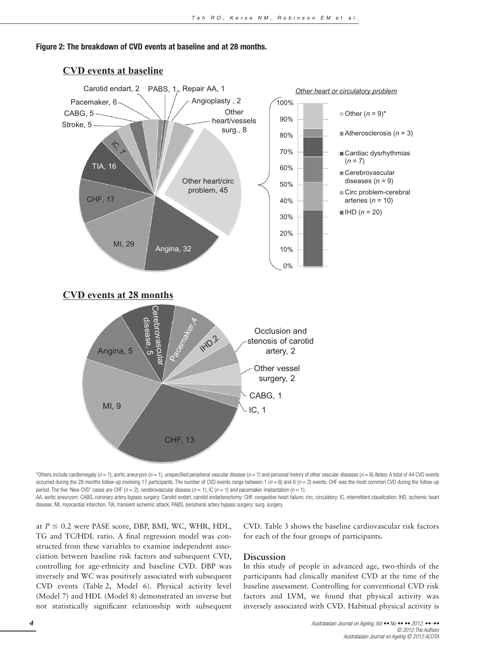



## **CVD events at baseline**

\*Others include cardiomegaly ( $n = 1$ ), aortic aneurysm ( $n = 1$ ), unspecified peripheral vascular disease ( $n = 1$ ) and personal history of other vascular diseases ( $n = 6$ ). Notes: A total of 44 CVD events occurred during the 28 months follow-up involving 17 participants. The number of CVD events range between 1 ( $n = 6$ ) and 6 ( $n = 2$ ) events. CHF was the most common CVD during the follow-up period. The five 'New CVD' cases are CHF ( $n = 2$ ), cerebrovascular disease ( $n = 1$ ), IC ( $n = 1$ ) and pacemaker implantation ( $n = 1$ ).

AA, aortic aneurysm; CABG, coronary artery bypass surgery; Carotid endart, carotid endarterectomy; CHF, congestive heart failure; circ, circulatory; IC, intermittent claudication; IHD, ischemic heart disease; MI, myocardial infarction; TIA, transient ischemic attack; PABS, peripheral artery bypass surgery; surg, surgery.

at  $P \le 0.2$  were PASE score, DBP, BMI, WC, WHR, HDL, TG and TC/HDL ratio. A final regression model was constructed from these variables to examine independent association between baseline risk factors and subsequent CVD, controlling for age-ethnicity and baseline CVD. DBP was inversely and WC was positively associated with subsequent CVD events (Table 2, Model 6). Physical activity level (Model 7) and HDL (Model 8) demonstrated an inverse but not statistically significant relationship with subsequent CVD. Table 3 shows the baseline cardiovascular risk factors for each of the four groups of participants.

# **Discussion**

In this study of people in advanced age, two-thirds of the participants had clinically manifest CVD at the time of the baseline assessment. Controlling for conventional CVD risk factors and LVM, we found that physical activity was inversely associated with CVD. Habitual physical activity is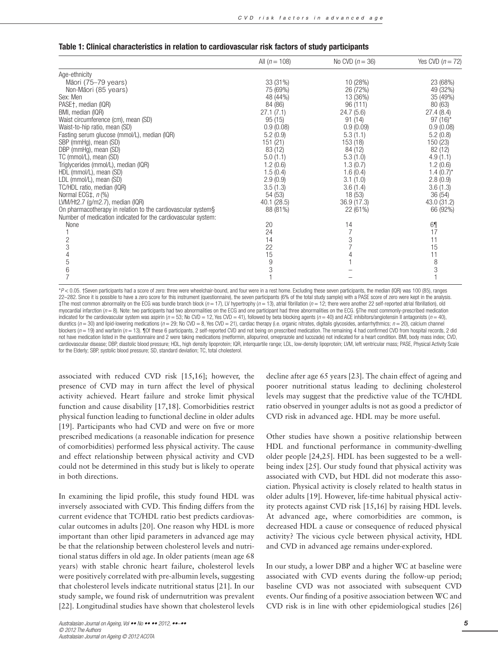|  |  |  |  |  | Table 1: Clinical characteristics in relation to cardiovascular risk factors of study participants |
|--|--|--|--|--|----------------------------------------------------------------------------------------------------|
|--|--|--|--|--|----------------------------------------------------------------------------------------------------|

|                                                               | All $(n = 108)$ | No CVD $(n = 36)$ | Yes CVD $(n = 72)$ |
|---------------------------------------------------------------|-----------------|-------------------|--------------------|
| Age-ethnicity                                                 |                 |                   |                    |
| Māori (75–79 years)                                           | 33 (31%)        | 10 (28%)          | 23 (68%)           |
| Non-Māori (85 years)                                          | 75 (69%)        | 26 (72%)          | 49 (32%)           |
| Sex: Men                                                      | 48 (44%)        | 13 (36%)          | 35 (49%)           |
| PASE†, median (IQR)                                           | 84 (86)         | 96 (111)          | 80 (63)            |
| BMI, median (IQR)                                             | 27.1(7.1)       | 24.7(5.6)         | 27.4(8.4)          |
| Waist circumference (cm), mean (SD)                           | 95(15)          | 91(14)            | $97(16)^*$         |
| Waist-to-hip ratio, mean (SD)                                 | 0.9(0.08)       | 0.9(0.09)         | 0.9(0.08)          |
| Fasting serum glucose (mmol/L), median (IQR)                  | 5.2(0.9)        | 5.3(1.1)          | 5.2(0.8)           |
| SBP (mmHg), mean (SD)                                         | 151(21)         | 153 (18)          | 150 (23)           |
| DBP (mmHg), mean (SD)                                         | 83 (12)         | 84 (12)           | 82 (12)            |
| TC (mmol/L), mean (SD)                                        | 5.0(1.1)        | 5.3(1.0)          | 4.9(1.1)           |
| Triglycerides (mmol/L), median (IQR)                          | 1.2(0.6)        | 1.3(0.7)          | 1.2(0.6)           |
| HDL (mmol/L), mean (SD)                                       | 1.5(0.4)        | 1.6(0.4)          | $1.4(0.7)^{*}$     |
| LDL (mmol/L), mean (SD)                                       | 2.9(0.9)        | 3.1(1.0)          | 2.8(0.9)           |
| TC/HDL ratio, median (IQR)                                    | 3.5(1.3)        | 3.6(1.4)          | 3.6(1.3)           |
| Normal ECG‡, n (%)                                            | 54 (53)         | 18(53)            | 36(54)             |
| LVM/Ht2.7 ( $g/m2.7$ ), median (IQR)                          | 40.1(28.5)      | 36.9(17.3)        | 43.0 (31.2)        |
| On pharmacotherapy in relation to the cardiovascular system§  | 88 (81%)        | 22 (61%)          | 66 (92%)           |
| Number of medication indicated for the cardiovascular system: |                 |                   |                    |
| None                                                          | 20              | 14                | 6¶                 |
|                                                               | 24              |                   | 17                 |
| 2                                                             | 14              | 3                 | 11                 |
| 3                                                             | 22              | 7                 | 15                 |
|                                                               | 15              | 4                 | 11                 |
| 5                                                             | 9               |                   | 8                  |
| 6                                                             | 3               |                   | 3                  |
|                                                               |                 |                   |                    |

\*P < 0.05. †Seven participants had a score of zero: three were wheelchair-bound, and four were in a rest home. Excluding these seven participants, the median (IQR) was 100 (85), ranges 22–282. Since it is possible to have a zero score for this instrument (questionnaire), the seven participants (6% of the total study sample) with a PASE score of zero were kept in the analysis. ‡The most common abnormality on the ECG was bundle branch block ( $n = 17$ ), LV hypertrophy ( $n = 12$ ), atrial fibrillation ( $n = 12$ ; there were another 22 self-reported atrial fibrillation), old myocardial infarction ( $n = 8$ ). Note: two participants had two abnormalities on the ECG and one participant had three abnormalities on the ECG. §The most commonly-prescribed medication indicated for the cardiovascular system was aspirin ( $n = 53$ ; No CVD = 12, Yes CVD = 41), followed by beta blocking agents ( $n = 40$ ) and ACE inhibitors/angiotensin II antagonists ( $n = 40$ ), diuretics ( $n = 30$ ) and lipid-lowering medications ( $n = 29$ ; No CVD = 8, Yes CVD = 21), cardiac therapy (i.e. organic nitrates, digitalis glycosides, antiarrhythmics;  $n = 20$ ), calcium channel blockers  $(n = 19)$  and warfarin  $(n = 13)$ . The first expective participants, 2 self-reported CVD and not being on prescribed medication. The remaining 4 had confirmed CVD from hospital records, 2 did not have medication listed in the questionnaire and 2 were taking medications (metformin, allopurinol, omeprazole and lucozade) not indicated for a heart condition. BMI, body mass index; CVD, cardiovascular disease; DBP, diastolic blood pressure; HDL, high density lipoprotein; IQR, interquartile range; LDL, low-density lipoprotein; LVM, left ventricular mass; PASE, Physical Activity Scale for the Elderly; SBP, systolic blood pressure; SD, standard deviation; TC, total cholesterol.

associated with reduced CVD risk [15,16]; however, the presence of CVD may in turn affect the level of physical activity achieved. Heart failure and stroke limit physical function and cause disability [17,18]. Comorbidities restrict physical function leading to functional decline in older adults [19]. Participants who had CVD and were on five or more prescribed medications (a reasonable indication for presence of comorbidities) performed less physical activity*.* The cause and effect relationship between physical activity and CVD could not be determined in this study but is likely to operate in both directions.

In examining the lipid profile, this study found HDL was inversely associated with CVD. This finding differs from the current evidence that TC/HDL ratio best predicts cardiovascular outcomes in adults [20]. One reason why HDL is more important than other lipid parameters in advanced age may be that the relationship between cholesterol levels and nutritional status differs in old age. In older patients (mean age 68 years) with stable chronic heart failure, cholesterol levels were positively correlated with pre-albumin levels, suggesting that cholesterol levels indicate nutritional status [21]. In our study sample, we found risk of undernutrition was prevalent [22]. Longitudinal studies have shown that cholesterol levels

decline after age 65 years [23]. The chain effect of ageing and poorer nutritional status leading to declining cholesterol levels may suggest that the predictive value of the TC/HDL ratio observed in younger adults is not as good a predictor of CVD risk in advanced age. HDL may be more useful.

Other studies have shown a positive relationship between HDL and functional performance in community-dwelling older people [24,25]. HDL has been suggested to be a wellbeing index [25]. Our study found that physical activity was associated with CVD, but HDL did not moderate this association. Physical activity is closely related to health status in older adults [19]. However, life-time habitual physical activity protects against CVD risk [15,16] by raising HDL levels. At advanced age, where comorbidities are common, is decreased HDL a cause or consequence of reduced physical activity? The vicious cycle between physical activity, HDL and CVD in advanced age remains under-explored.

In our study, a lower DBP and a higher WC at baseline were associated with CVD events during the follow-up period; baseline CVD was not associated with subsequent CVD events. Our finding of a positive association between WC and CVD risk is in line with other epidemiological studies [26]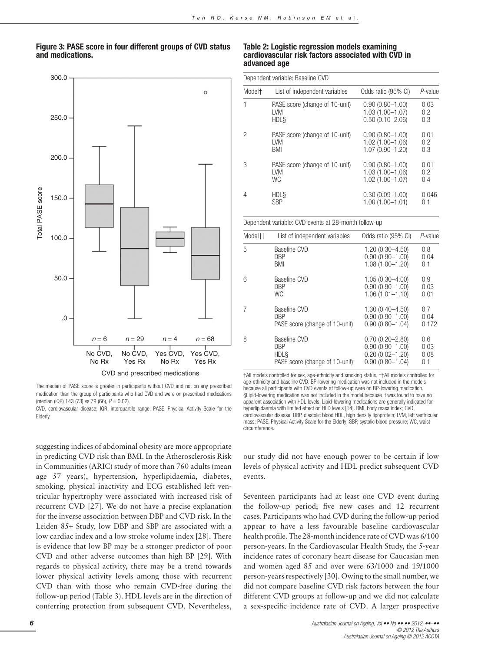# Figure 3: PASE score in four different groups of CVD status and medications.



The median of PASE score is greater in participants without CVD and not on any prescribed medication than the group of participants who had CVD and were on prescribed medications (median (IQR) 143 (73) vs 79 (66),  $P = 0.02$ ).

CVD, cardiovascular disease; IQR, interquartile range; PASE, Physical Activity Scale for the Elderly.

suggesting indices of abdominal obesity are more appropriate in predicting CVD risk than BMI. In the Atherosclerosis Risk in Communities (ARIC) study of more than 760 adults (mean age 57 years), hypertension, hyperlipidaemia, diabetes, smoking, physical inactivity and ECG established left ventricular hypertrophy were associated with increased risk of recurrent CVD [27]. We do not have a precise explanation for the inverse association between DBP and CVD risk. In the Leiden 85+ Study, low DBP and SBP are associated with a low cardiac index and a low stroke volume index [28]. There is evidence that low BP may be a stronger predictor of poor CVD and other adverse outcomes than high BP [29]. With regards to physical activity, there may be a trend towards lower physical activity levels among those with recurrent CVD than with those who remain CVD-free during the follow-up period (Table 3). HDL levels are in the direction of conferring protection from subsequent CVD. Nevertheless,

#### Table 2: Logistic regression models examining cardiovascular risk factors associated with CVD in advanced age

| Dependent variable: Baseline CVD |                                |                     |            |  |
|----------------------------------|--------------------------------|---------------------|------------|--|
| Model <sup>+</sup>               | List of independent variables  | Odds ratio (95% CI) | $P$ -value |  |
| 1                                | PASE score (change of 10-unit) | $0.90(0.80 - 1.00)$ | 0.03       |  |
|                                  | <b>LVM</b>                     | $1.03(1.00 - 1.07)$ | 0.2        |  |
|                                  | <b>HDLS</b>                    | $0.50(0.10 - 2.06)$ | 0.3        |  |
| 2                                | PASE score (change of 10-unit) | $0.90(0.80 - 1.00)$ | 0.01       |  |
|                                  | <b>IVM</b>                     | $1.02(1.00 - 1.06)$ | 0.2        |  |
|                                  | BMI                            | 1.07 (0.90-1.20)    | 0.3        |  |
| 3                                | PASE score (change of 10-unit) | $0.90(0.80 - 1.00)$ | 0.01       |  |
|                                  | <b>IVM</b>                     | $1.03(1.00 - 1.06)$ | 0.2        |  |
|                                  | WC.                            | $1.02(1.00 - 1.07)$ | 0.4        |  |
| 4                                | <b>HDLS</b>                    | $0.30(0.09 - 1.00)$ | 0.046      |  |
|                                  | <b>SBP</b>                     | $1.00(1.00 - 1.01)$ | 0.1        |  |

#### Dependent variable: CVD events at 28-month follow-up

| Modeltt | List of independent variables  | Odds ratio (95% CI) | $P$ -value |
|---------|--------------------------------|---------------------|------------|
| 5       | Baseline CVD                   | $1.20(0.30 - 4.50)$ | 0.8        |
|         | DBP                            | $0.90(0.90 - 1.00)$ | 0.04       |
|         | BMI                            | $1.08(1.00 - 1.20)$ | 0.1        |
| 6       | Baseline CVD                   | $1.05(0.30 - 4.00)$ | 0.9        |
|         | DBP                            | $0.90(0.90 - 1.00)$ | 0.03       |
|         | <b>WC</b>                      | $1.06(1.01 - 1.10)$ | 0.01       |
| 7       | Baseline CVD                   | $1.30(0.40 - 4.50)$ | 0.7        |
|         | <b>DBP</b>                     | $0.90(0.90 - 1.00)$ | 0.04       |
|         | PASE score (change of 10-unit) | $0.90(0.80 - 1.04)$ | 0.172      |
| 8       | Baseline CVD                   | $0.70(0.20 - 2.80)$ | 0.6        |
|         | <b>DBP</b>                     | $0.90(0.90 - 1.00)$ | 0.03       |
|         | <b>HDLS</b>                    | $0.20(0.02 - 1.20)$ | 0.08       |
|         | PASE score (change of 10-unit) | $0.90(0.80 - 1.04)$ | 0.1        |

†All models controlled for sex, age-ethnicity and smoking status. ††All models controlled for age-ethnicity and baseline CVD. BP-lowering medication was not included in the models because all participants with CVD events at follow-up were on BP-lowering medication. §Lipid-lowering medication was not included in the model because it was found to have no apparent association with HDL levels. Lipid-lowering medications are generally indicated for hyperlipidaemia with limited effect on HLD levels [14]. BMI, body mass index; CVD, cardiovascular disease; DBP, diastolic blood HDL, high density lipoprotein; LVM, left ventricular mass; PASE, Physical Activity Scale for the Elderly; SBP, systolic blood pressure; WC, waist circumference.

our study did not have enough power to be certain if low levels of physical activity and HDL predict subsequent CVD events.

Seventeen participants had at least one CVD event during the follow-up period; five new cases and 12 recurrent cases. Participants who had CVD during the follow-up period appear to have a less favourable baseline cardiovascular health profile. The 28-month incidence rate of CVD was 6/100 person-years. In the Cardiovascular Health Study, the 5-year incidence rates of coronary heart disease for Caucasian men and women aged 85 and over were 63/1000 and 19/1000 person-years respectively [30]. Owing to the small number, we did not compare baseline CVD risk factors between the four different CVD groups at follow-up and we did not calculate a sex-specific incidence rate of CVD. A larger prospective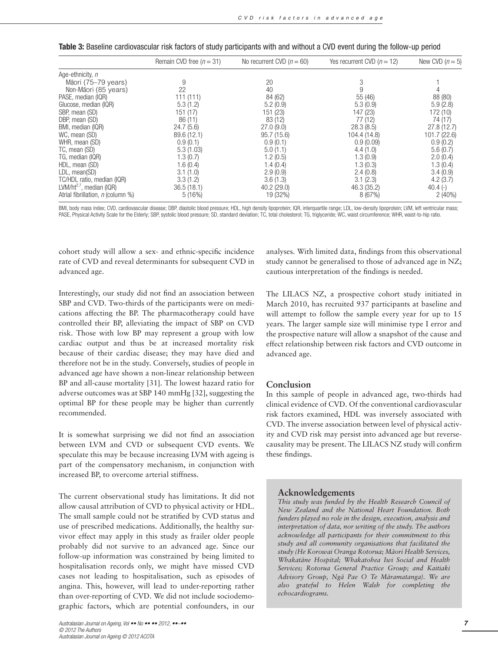|                                      | Remain CVD free $(n = 31)$ | No recurrent CVD $(n = 60)$ | Yes recurrent CVD ( $n = 12$ ) | New CVD $(n=5)$ |
|--------------------------------------|----------------------------|-----------------------------|--------------------------------|-----------------|
| Age-ethnicity, n                     |                            |                             |                                |                 |
| Māori (75–79 years)                  | 9                          | 20                          | 3                              |                 |
| Non-Māori (85 years)                 | 22                         | 40                          | 9                              |                 |
| PASE, median (IQR)                   | 111(111)                   | 84 (62)                     | 55 (46)                        | 88 (80)         |
| Glucose, median (IQR)                | 5.3(1.2)                   | 5.2(0.9)                    | 5.3(0.9)                       | 5.9(2.8)        |
| SBP, mean (SD)                       | 151 (17)                   | 151 (23)                    | 147 (23)                       | 172 (10)        |
| DBP, mean (SD)                       | 86(11)                     | 83 (12)                     | 77 (12)                        | 74 (17)         |
| BMI, median (IQR)                    | 24.7(5.6)                  | 27.0(9.0)                   | 28.3(8.5)                      | 27.8(12.7)      |
| WC, mean (SD)                        | 89.6 (12.1)                | 95.7(15.6)                  | 104.4 (14.8)                   | 101.7(22.6)     |
| WHR, mean (SD)                       | 0.9(0.1)                   | 0.9(0.1)                    | 0.9(0.09)                      | 0.9(0.2)        |
| TC, mean (SD)                        | 5.3(1.03)                  | 5.0(1.1)                    | 4.4(1.0)                       | 5.6(0.7)        |
| TG, median (IQR)                     | 1.3(0.7)                   | 1.2(0.5)                    | 1.3(0.9)                       | 2.0(0.4)        |
| HDL, mean (SD)                       | 1.6(0.4)                   | 1.4(0.4)                    | 1.3(0.3)                       | 1.3(0.4)        |
| LDL, mean(SD)                        | 3.1(1.0)                   | 2.9(0.9)                    | 2.4(0.8)                       | 3.4(0.9)        |
| TC/HDL ratio, median (IQR)           | 3.3(1.2)                   | 3.6(1.3)                    | 3.1(2.3)                       | 4.2(3.7)        |
| LVM/ht <sup>2.7</sup> , median (IQR) | 36.5(18.1)                 | 40.2(29.0)                  | 46.3 (35.2)                    | $40.4(-)$       |
| Atrial fibrillation, n (column %)    | 5(16%)                     | 19 (32%)                    | 8(67%)                         | $2(40\%)$       |

BMI, body mass index; CVD, cardiovascular disease; DBP, diastolic blood pressure; HDL, high density lipoprotein; IQR, interquartile range; LDL, low-density lipoprotein; LVM, left ventricular mass; PASE, Physical Activity Scale for the Elderly; SBP, systolic blood pressure; SD, standard deviation; TC, total cholesterol; TG, triglyceride; WC, waist circumference; WHR, waist-to-hip ratio.

cohort study will allow a sex- and ethnic-specific incidence rate of CVD and reveal determinants for subsequent CVD in advanced age.

Interestingly, our study did not find an association between SBP and CVD. Two-thirds of the participants were on medications affecting the BP. The pharmacotherapy could have controlled their BP, alleviating the impact of SBP on CVD risk. Those with low BP may represent a group with low cardiac output and thus be at increased mortality risk because of their cardiac disease; they may have died and therefore not be in the study. Conversely, studies of people in advanced age have shown a non-linear relationship between BP and all-cause mortality [31]. The lowest hazard ratio for adverse outcomes was at SBP 140 mmHg [32], suggesting the optimal BP for these people may be higher than currently recommended.

It is somewhat surprising we did not find an association between LVM and CVD or subsequent CVD events. We speculate this may be because increasing LVM with ageing is part of the compensatory mechanism, in conjunction with increased BP, to overcome arterial stiffness.

The current observational study has limitations. It did not allow causal attribution of CVD to physical activity or HDL. The small sample could not be stratified by CVD status and use of prescribed medications. Additionally, the healthy survivor effect may apply in this study as frailer older people probably did not survive to an advanced age. Since our follow-up information was constrained by being limited to hospitalisation records only, we might have missed CVD cases not leading to hospitalisation, such as episodes of angina. This, however, will lead to under-reporting rather than over-reporting of CVD. We did not include sociodemographic factors, which are potential confounders, in our

analyses. With limited data, findings from this observational study cannot be generalised to those of advanced age in NZ; cautious interpretation of the findings is needed.

The LILACS NZ, a prospective cohort study initiated in March 2010, has recruited 937 participants at baseline and will attempt to follow the sample every year for up to 15 years. The larger sample size will minimise type I error and the prospective nature will allow a snapshot of the cause and effect relationship between risk factors and CVD outcome in advanced age.

# **Conclusion**

In this sample of people in advanced age, two-thirds had clinical evidence of CVD. Of the conventional cardiovascular risk factors examined, HDL was inversely associated with CVD. The inverse association between level of physical activity and CVD risk may persist into advanced age but reversecausality may be present. The LILACS NZ study will confirm these findings.

## **Acknowledgements**

*This study was funded by the Health Research Council of New Zealand and the National Heart Foundation. Both funders played no role in the design, execution, analysis and interpretation of data, nor writing of the study. The authors acknowledge all participants for their commitment to this study and all community organisations that facilitated the* study (He Korowai Oranga Rotorua; Māori Health Services, *Whakata¯ne Hospital; Whakatohea Iwi Social and Health Services; Rotorua General Practice Group; and Kaitiaki* Advisory Group, Ngā Pae O Te Māramatanga). We are *also grateful to Helen Walsh for completing the echocardiograms.*